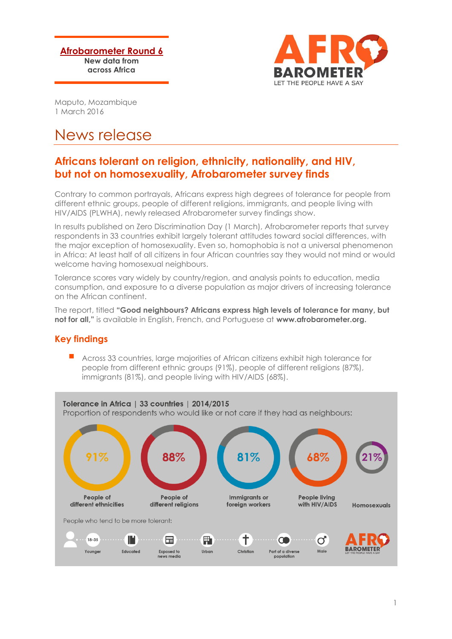**Afrobarometer Round 6 New data from across Africa**



Maputo, Mozambique 1 March 2016

# News release

## **Africans tolerant on religion, ethnicity, nationality, and HIV, but not on homosexuality, Afrobarometer survey finds**

Contrary to common portrayals, Africans express high degrees of tolerance for people from different ethnic groups, people of different religions, immigrants, and people living with HIV/AIDS (PLWHA), newly released Afrobarometer survey findings show.

In results published on Zero Discrimination Day (1 March), Afrobarometer reports that survey respondents in 33 countries exhibit largely tolerant attitudes toward social differences, with the major exception of homosexuality. Even so, homophobia is not a universal phenomenon in Africa: At least half of all citizens in four African countries say they would not mind or would welcome having homosexual neighbours.

Tolerance scores vary widely by country/region, and analysis points to education, media consumption, and exposure to a diverse population as major drivers of increasing tolerance on the African continent.

The report, titled **"Good neighbours? Africans express high levels of tolerance for many, but not for all,"** is available in English, French, and Portuguese at **www.afrobarometer.org.**

### **Key findings**

 Across 33 countries, large majorities of African citizens exhibit high tolerance for people from different ethnic groups (91%), people of different religions (87%), immigrants (81%), and people living with HIV/AIDS (68%).

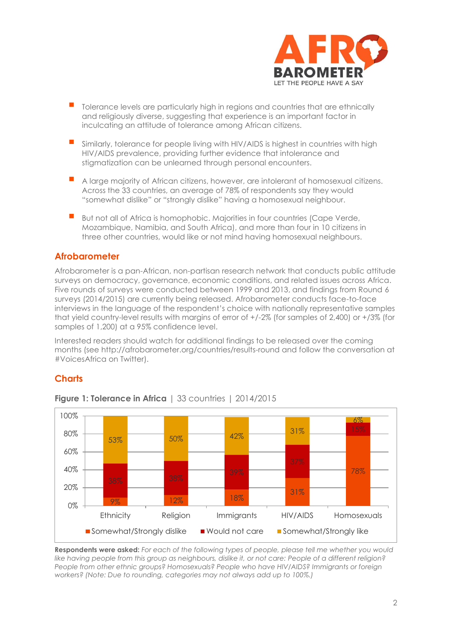

- Tolerance levels are particularly high in regions and countries that are ethnically and religiously diverse, suggesting that experience is an important factor in inculcating an attitude of tolerance among African citizens.
- Similarly, tolerance for people living with HIV/AIDS is highest in countries with high HIV/AIDS prevalence, providing further evidence that intolerance and stigmatization can be unlearned through personal encounters.
- A large majority of African citizens, however, are intolerant of homosexual citizens. Across the 33 countries, an average of 78% of respondents say they would "somewhat dislike" or "strongly dislike" having a homosexual neighbour.
- But not all of Africa is homophobic. Majorities in four countries (Cape Verde, Mozambique, Namibia, and South Africa), and more than four in 10 citizens in three other countries, would like or not mind having homosexual neighbours.

#### **Afrobarometer**

Afrobarometer is a pan-African, non-partisan research network that conducts public attitude surveys on democracy, governance, economic conditions, and related issues across Africa. Five rounds of surveys were conducted between 1999 and 2013, and findings from Round 6 surveys (2014/2015) are currently being released. Afrobarometer conducts face-to-face interviews in the language of the respondent's choice with nationally representative samples that yield country-level results with margins of error of +/-2% (for samples of 2,400) or +/3% (for samples of 1,200) at a 95% confidence level.

Interested readers should watch for additional findings to be released over the coming months (see<http://afrobarometer.org/countries/results-round> and follow the conversation at #VoicesAfrica on Twitter).

#### **Charts**



#### **Figure 1: Tolerance in Africa** | 33 countries | 2014/2015

**Respondents were asked:** *For each of the following types of people, please tell me whether you would like having people from this group as neighbours, dislike it, or not care: People of a different religion? People from other ethnic groups? Homosexuals? People who have HIV/AIDS? Immigrants or foreign workers? (Note: Due to rounding, categories may not always add up to 100%.)*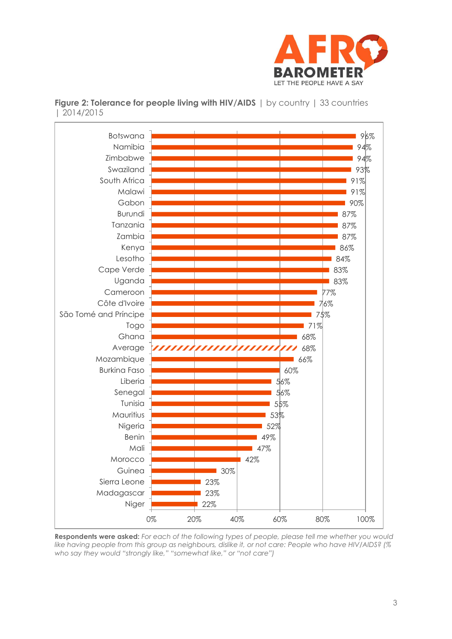



**Figure 2: Tolerance for people living with HIV/AIDS** | by country | 33 countries | 2014/2015

**Respondents were asked:** *For each of the following types of people, please tell me whether you would like having people from this group as neighbours, dislike it, or not care: People who have HIV/AIDS? (% who say they would "strongly like," "somewhat like," or "not care")*